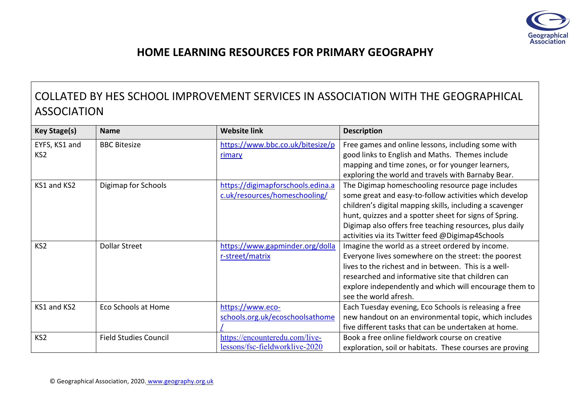

## **HOME LEARNING RESOURCES FOR PRIMARY GEOGRAPHY**

## COLLATED BY HES SCHOOL IMPROVEMENT SERVICES IN ASSOCIATION WITH THE GEOGRAPHICAL ASSOCIATION

| <b>Key Stage(s)</b> | <b>Name</b>                  | <b>Website link</b>               | <b>Description</b>                                       |
|---------------------|------------------------------|-----------------------------------|----------------------------------------------------------|
| EYFS, KS1 and       | <b>BBC Bitesize</b>          | https://www.bbc.co.uk/bitesize/p  | Free games and online lessons, including some with       |
| KS <sub>2</sub>     |                              | rimary                            | good links to English and Maths. Themes include          |
|                     |                              |                                   | mapping and time zones, or for younger learners,         |
|                     |                              |                                   | exploring the world and travels with Barnaby Bear.       |
| KS1 and KS2         | Digimap for Schools          | https://digimapforschools.edina.a | The Digimap homeschooling resource page includes         |
|                     |                              | c.uk/resources/homeschooling/     | some great and easy-to-follow activities which develop   |
|                     |                              |                                   | children's digital mapping skills, including a scavenger |
|                     |                              |                                   | hunt, quizzes and a spotter sheet for signs of Spring.   |
|                     |                              |                                   | Digimap also offers free teaching resources, plus daily  |
|                     |                              |                                   | activities via its Twitter feed @Digimap4Schools         |
| KS <sub>2</sub>     | <b>Dollar Street</b>         | https://www.gapminder.org/dolla   | Imagine the world as a street ordered by income.         |
|                     |                              | r-street/matrix                   | Everyone lives somewhere on the street: the poorest      |
|                     |                              |                                   | lives to the richest and in between. This is a well-     |
|                     |                              |                                   | researched and informative site that children can        |
|                     |                              |                                   | explore independently and which will encourage them to   |
|                     |                              |                                   | see the world afresh.                                    |
| KS1 and KS2         | Eco Schools at Home          | https://www.eco-                  | Each Tuesday evening, Eco Schools is releasing a free    |
|                     |                              | schools.org.uk/ecoschoolsathome   | new handout on an environmental topic, which includes    |
|                     |                              |                                   | five different tasks that can be undertaken at home.     |
| KS <sub>2</sub>     | <b>Field Studies Council</b> | https://encounteredu.com/live-    | Book a free online fieldwork course on creative          |
|                     |                              | lessons/fsc-fieldworklive-2020    | exploration, soil or habitats. These courses are proving |